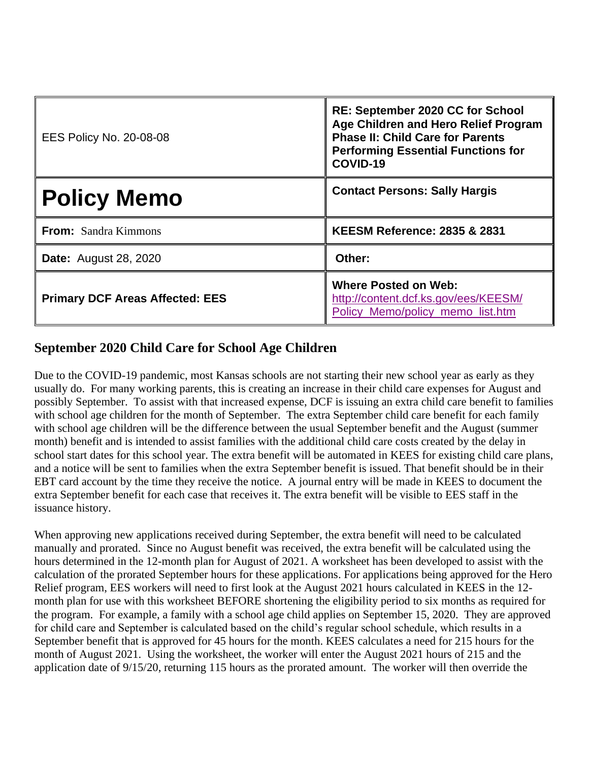| <b>EES Policy No. 20-08-08</b>         | <b>RE: September 2020 CC for School</b><br>Age Children and Hero Relief Program<br><b>Phase II: Child Care for Parents</b><br><b>Performing Essential Functions for</b><br>COVID-19 |
|----------------------------------------|-------------------------------------------------------------------------------------------------------------------------------------------------------------------------------------|
| <b>Policy Memo</b>                     | <b>Contact Persons: Sally Hargis</b>                                                                                                                                                |
| From: Sandra Kimmons                   | <b>KEESM Reference: 2835 &amp; 2831</b>                                                                                                                                             |
| <b>Date:</b> August 28, 2020           | Other:                                                                                                                                                                              |
| <b>Primary DCF Areas Affected: EES</b> | <b>Where Posted on Web:</b><br>http://content.dcf.ks.gov/ees/KEESM/<br>Policy_Memo/policy_memo_list.htm                                                                             |

## **September 2020 Child Care for School Age Children**

Due to the COVID-19 pandemic, most Kansas schools are not starting their new school year as early as they usually do. For many working parents, this is creating an increase in their child care expenses for August and possibly September. To assist with that increased expense, DCF is issuing an extra child care benefit to families with school age children for the month of September. The extra September child care benefit for each family with school age children will be the difference between the usual September benefit and the August (summer month) benefit and is intended to assist families with the additional child care costs created by the delay in school start dates for this school year. The extra benefit will be automated in KEES for existing child care plans, and a notice will be sent to families when the extra September benefit is issued. That benefit should be in their EBT card account by the time they receive the notice. A journal entry will be made in KEES to document the extra September benefit for each case that receives it. The extra benefit will be visible to EES staff in the issuance history.

When approving new applications received during September, the extra benefit will need to be calculated manually and prorated. Since no August benefit was received, the extra benefit will be calculated using the hours determined in the 12-month plan for August of 2021. A worksheet has been developed to assist with the calculation of the prorated September hours for these applications. For applications being approved for the Hero Relief program, EES workers will need to first look at the August 2021 hours calculated in KEES in the 12 month plan for use with this worksheet BEFORE shortening the eligibility period to six months as required for the program. For example, a family with a school age child applies on September 15, 2020. They are approved for child care and September is calculated based on the child's regular school schedule, which results in a September benefit that is approved for 45 hours for the month. KEES calculates a need for 215 hours for the month of August 2021. Using the worksheet, the worker will enter the August 2021 hours of 215 and the application date of 9/15/20, returning 115 hours as the prorated amount. The worker will then override the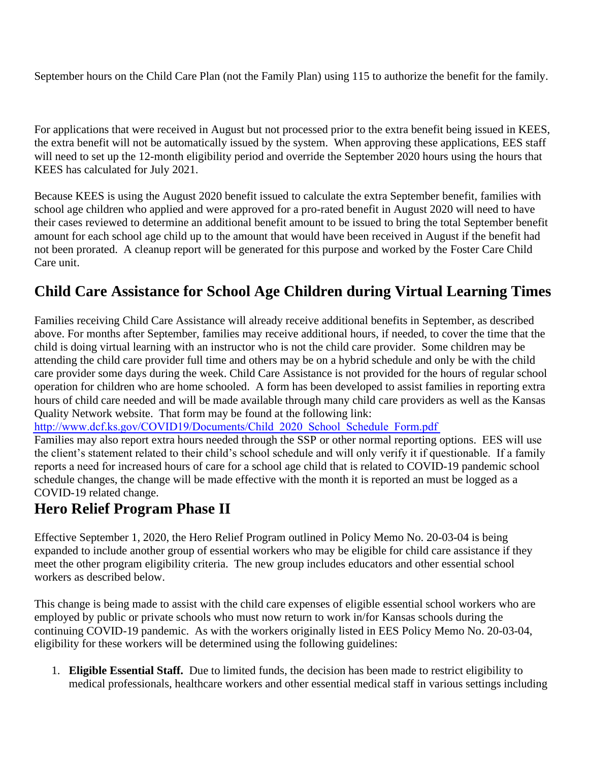September hours on the Child Care Plan (not the Family Plan) using 115 to authorize the benefit for the family.

For applications that were received in August but not processed prior to the extra benefit being issued in KEES, the extra benefit will not be automatically issued by the system. When approving these applications, EES staff will need to set up the 12-month eligibility period and override the September 2020 hours using the hours that KEES has calculated for July 2021.

Because KEES is using the August 2020 benefit issued to calculate the extra September benefit, families with school age children who applied and were approved for a pro-rated benefit in August 2020 will need to have their cases reviewed to determine an additional benefit amount to be issued to bring the total September benefit amount for each school age child up to the amount that would have been received in August if the benefit had not been prorated. A cleanup report will be generated for this purpose and worked by the Foster Care Child Care unit.

## **Child Care Assistance for School Age Children during Virtual Learning Times**

Families receiving Child Care Assistance will already receive additional benefits in September, as described above. For months after September, families may receive additional hours, if needed, to cover the time that the child is doing virtual learning with an instructor who is not the child care provider. Some children may be attending the child care provider full time and others may be on a hybrid schedule and only be with the child care provider some days during the week. Child Care Assistance is not provided for the hours of regular school operation for children who are home schooled. A form has been developed to assist families in reporting extra hours of child care needed and will be made available through many child care providers as well as the Kansas Quality Network website. That form may be found at the following link:

[http://www.dcf.ks.gov/COVID19/Documents/Child\\_2020\\_School\\_Schedule\\_Form.pdf](http://www.dcf.ks.gov/COVID19/Documents/Child_2020_School_Schedule_Form.pdf)

Families may also report extra hours needed through the SSP or other normal reporting options. EES will use the client's statement related to their child's school schedule and will only verify it if questionable. If a family reports a need for increased hours of care for a school age child that is related to COVID-19 pandemic school schedule changes, the change will be made effective with the month it is reported an must be logged as a COVID-19 related change.

## **Hero Relief Program Phase II**

Effective September 1, 2020, the Hero Relief Program outlined in Policy Memo No. 20-03-04 is being expanded to include another group of essential workers who may be eligible for child care assistance if they meet the other program eligibility criteria. The new group includes educators and other essential school workers as described below.

This change is being made to assist with the child care expenses of eligible essential school workers who are employed by public or private schools who must now return to work in/for Kansas schools during the continuing COVID-19 pandemic. As with the workers originally listed in EES Policy Memo No. 20-03-04, eligibility for these workers will be determined using the following guidelines:

1. **Eligible Essential Staff.** Due to limited funds, the decision has been made to restrict eligibility to medical professionals, healthcare workers and other essential medical staff in various settings including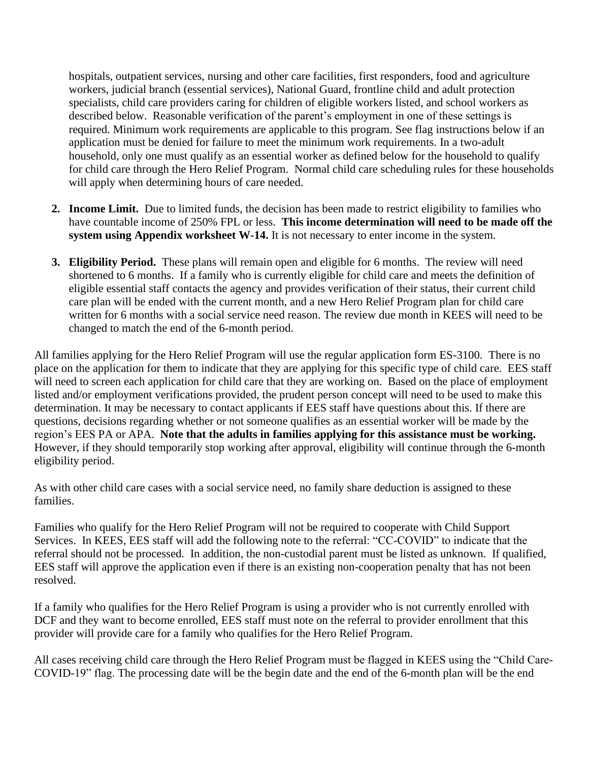hospitals, outpatient services, nursing and other care facilities, first responders, food and agriculture workers, judicial branch (essential services), National Guard, frontline child and adult protection specialists, child care providers caring for children of eligible workers listed, and school workers as described below. Reasonable verification of the parent's employment in one of these settings is required. Minimum work requirements are applicable to this program. See flag instructions below if an application must be denied for failure to meet the minimum work requirements. In a two-adult household, only one must qualify as an essential worker as defined below for the household to qualify for child care through the Hero Relief Program. Normal child care scheduling rules for these households will apply when determining hours of care needed.

- **2. Income Limit.** Due to limited funds, the decision has been made to restrict eligibility to families who have countable income of 250% FPL or less. **This income determination will need to be made off the system using Appendix worksheet W-14.** It is not necessary to enter income in the system.
- **3. Eligibility Period.** These plans will remain open and eligible for 6 months. The review will need shortened to 6 months. If a family who is currently eligible for child care and meets the definition of eligible essential staff contacts the agency and provides verification of their status, their current child care plan will be ended with the current month, and a new Hero Relief Program plan for child care written for 6 months with a social service need reason. The review due month in KEES will need to be changed to match the end of the 6-month period.

All families applying for the Hero Relief Program will use the regular application form ES-3100. There is no place on the application for them to indicate that they are applying for this specific type of child care. EES staff will need to screen each application for child care that they are working on. Based on the place of employment listed and/or employment verifications provided, the prudent person concept will need to be used to make this determination. It may be necessary to contact applicants if EES staff have questions about this. If there are questions, decisions regarding whether or not someone qualifies as an essential worker will be made by the region's EES PA or APA. **Note that the adults in families applying for this assistance must be working.**  However, if they should temporarily stop working after approval, eligibility will continue through the 6-month eligibility period.

As with other child care cases with a social service need, no family share deduction is assigned to these families.

Families who qualify for the Hero Relief Program will not be required to cooperate with Child Support Services. In KEES, EES staff will add the following note to the referral: "CC-COVID" to indicate that the referral should not be processed. In addition, the non-custodial parent must be listed as unknown. If qualified, EES staff will approve the application even if there is an existing non-cooperation penalty that has not been resolved.

If a family who qualifies for the Hero Relief Program is using a provider who is not currently enrolled with DCF and they want to become enrolled, EES staff must note on the referral to provider enrollment that this provider will provide care for a family who qualifies for the Hero Relief Program.

All cases receiving child care through the Hero Relief Program must be flagged in KEES using the "Child Care-COVID-19" flag. The processing date will be the begin date and the end of the 6-month plan will be the end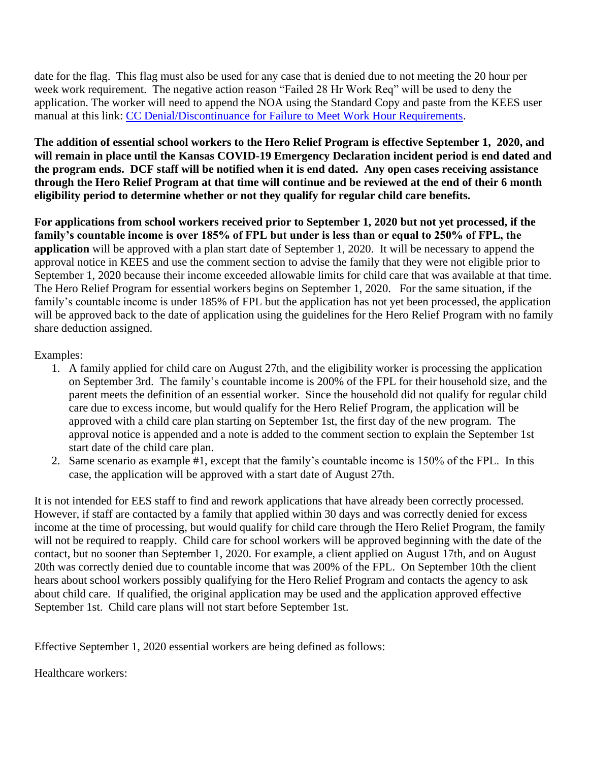date for the flag. This flag must also be used for any case that is denied due to not meeting the 20 hour per week work requirement. The negative action reason "Failed 28 Hr Work Req" will be used to deny the application. The worker will need to append the NOA using the Standard Copy and paste from the KEES user manual at this link: [CC Denial/Discontinuance for Failure to Meet Work Hour Requirements.](http://content.dcf.ks.gov/ees/KEESWebHelp/NonMedical-KEESWebHelp/CC_Denial_Discontinuance_for_Failure_to_Meet_Work_Hour_Requirements.htm)

**The addition of essential school workers to the Hero Relief Program is effective September 1, 2020, and will remain in place until the Kansas COVID-19 Emergency Declaration incident period is end dated and the program ends. DCF staff will be notified when it is end dated. Any open cases receiving assistance through the Hero Relief Program at that time will continue and be reviewed at the end of their 6 month eligibility period to determine whether or not they qualify for regular child care benefits.** 

**For applications from school workers received prior to September 1, 2020 but not yet processed, if the family's countable income is over 185% of FPL but under is less than or equal to 250% of FPL, the application** will be approved with a plan start date of September 1, 2020. It will be necessary to append the approval notice in KEES and use the comment section to advise the family that they were not eligible prior to September 1, 2020 because their income exceeded allowable limits for child care that was available at that time. The Hero Relief Program for essential workers begins on September 1, 2020. For the same situation, if the family's countable income is under 185% of FPL but the application has not yet been processed, the application will be approved back to the date of application using the guidelines for the Hero Relief Program with no family share deduction assigned.

## Examples:

- 1. A family applied for child care on August 27th, and the eligibility worker is processing the application on September 3rd. The family's countable income is 200% of the FPL for their household size, and the parent meets the definition of an essential worker. Since the household did not qualify for regular child care due to excess income, but would qualify for the Hero Relief Program, the application will be approved with a child care plan starting on September 1st, the first day of the new program. The approval notice is appended and a note is added to the comment section to explain the September 1st start date of the child care plan.
- 2. Same scenario as example #1, except that the family's countable income is 150% of the FPL. In this case, the application will be approved with a start date of August 27th.

It is not intended for EES staff to find and rework applications that have already been correctly processed. However, if staff are contacted by a family that applied within 30 days and was correctly denied for excess income at the time of processing, but would qualify for child care through the Hero Relief Program, the family will not be required to reapply. Child care for school workers will be approved beginning with the date of the contact, but no sooner than September 1, 2020. For example, a client applied on August 17th, and on August 20th was correctly denied due to countable income that was 200% of the FPL. On September 10th the client hears about school workers possibly qualifying for the Hero Relief Program and contacts the agency to ask about child care. If qualified, the original application may be used and the application approved effective September 1st. Child care plans will not start before September 1st.

Effective September 1, 2020 essential workers are being defined as follows:

Healthcare workers: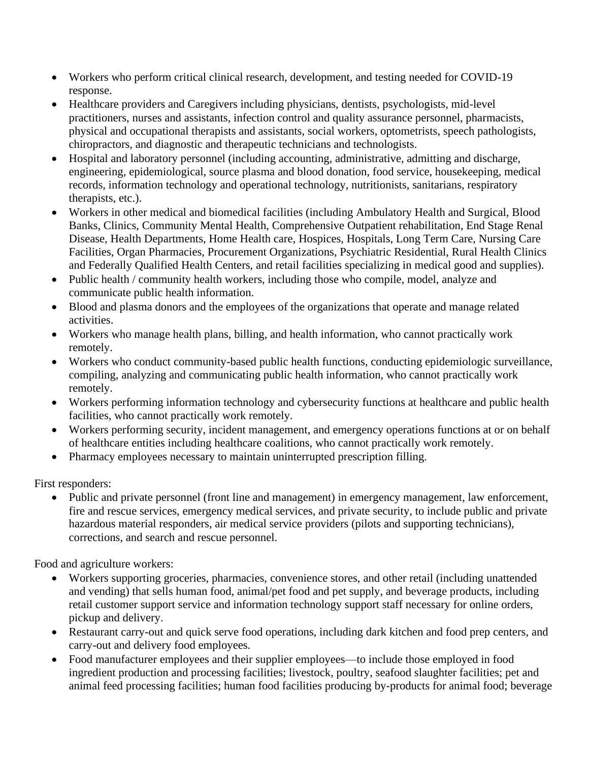- Workers who perform critical clinical research, development, and testing needed for COVID-19 response.
- Healthcare providers and Caregivers including physicians, dentists, psychologists, mid-level practitioners, nurses and assistants, infection control and quality assurance personnel, pharmacists, physical and occupational therapists and assistants, social workers, optometrists, speech pathologists, chiropractors, and diagnostic and therapeutic technicians and technologists.
- Hospital and laboratory personnel (including accounting, administrative, admitting and discharge, engineering, epidemiological, source plasma and blood donation, food service, housekeeping, medical records, information technology and operational technology, nutritionists, sanitarians, respiratory therapists, etc.).
- Workers in other medical and biomedical facilities (including Ambulatory Health and Surgical, Blood Banks, Clinics, Community Mental Health, Comprehensive Outpatient rehabilitation, End Stage Renal Disease, Health Departments, Home Health care, Hospices, Hospitals, Long Term Care, Nursing Care Facilities, Organ Pharmacies, Procurement Organizations, Psychiatric Residential, Rural Health Clinics and Federally Qualified Health Centers, and retail facilities specializing in medical good and supplies).
- Public health / community health workers, including those who compile, model, analyze and communicate public health information.
- Blood and plasma donors and the employees of the organizations that operate and manage related activities.
- Workers who manage health plans, billing, and health information, who cannot practically work remotely.
- Workers who conduct community-based public health functions, conducting epidemiologic surveillance, compiling, analyzing and communicating public health information, who cannot practically work remotely.
- Workers performing information technology and cybersecurity functions at healthcare and public health facilities, who cannot practically work remotely.
- Workers performing security, incident management, and emergency operations functions at or on behalf of healthcare entities including healthcare coalitions, who cannot practically work remotely.
- Pharmacy employees necessary to maintain uninterrupted prescription filling.

First responders:

• Public and private personnel (front line and management) in emergency management, law enforcement, fire and rescue services, emergency medical services, and private security, to include public and private hazardous material responders, air medical service providers (pilots and supporting technicians), corrections, and search and rescue personnel.

Food and agriculture workers:

- Workers supporting groceries, pharmacies, convenience stores, and other retail (including unattended and vending) that sells human food, animal/pet food and pet supply, and beverage products, including retail customer support service and information technology support staff necessary for online orders, pickup and delivery.
- Restaurant carry-out and quick serve food operations, including dark kitchen and food prep centers, and carry-out and delivery food employees.
- Food manufacturer employees and their supplier employees—to include those employed in food ingredient production and processing facilities; livestock, poultry, seafood slaughter facilities; pet and animal feed processing facilities; human food facilities producing by-products for animal food; beverage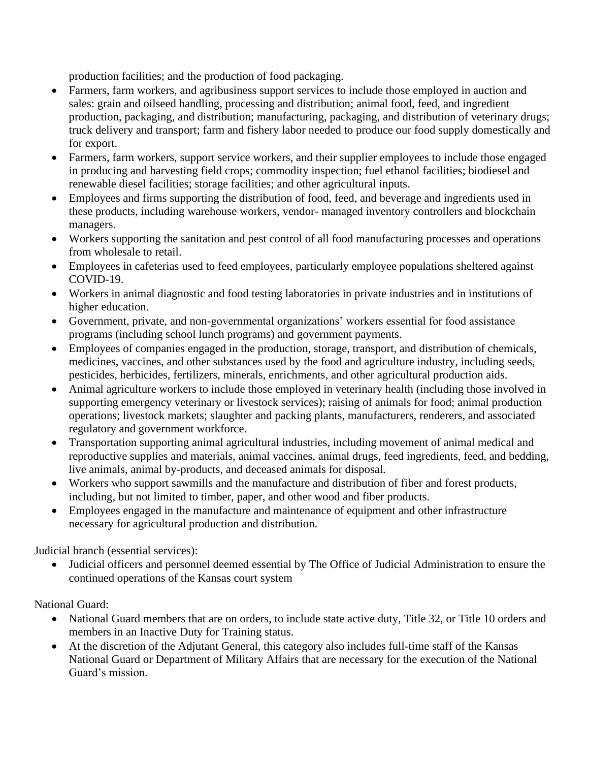production facilities; and the production of food packaging.

- Farmers, farm workers, and agribusiness support services to include those employed in auction and sales: grain and oilseed handling, processing and distribution; animal food, feed, and ingredient production, packaging, and distribution; manufacturing, packaging, and distribution of veterinary drugs; truck delivery and transport; farm and fishery labor needed to produce our food supply domestically and for export.
- Farmers, farm workers, support service workers, and their supplier employees to include those engaged in producing and harvesting field crops; commodity inspection; fuel ethanol facilities; biodiesel and renewable diesel facilities; storage facilities; and other agricultural inputs.
- Employees and firms supporting the distribution of food, feed, and beverage and ingredients used in these products, including warehouse workers, vendor- managed inventory controllers and blockchain managers.
- Workers supporting the sanitation and pest control of all food manufacturing processes and operations from wholesale to retail.
- Employees in cafeterias used to feed employees, particularly employee populations sheltered against COVID-19.
- Workers in animal diagnostic and food testing laboratories in private industries and in institutions of higher education.
- Government, private, and non-governmental organizations' workers essential for food assistance programs (including school lunch programs) and government payments.
- Employees of companies engaged in the production, storage, transport, and distribution of chemicals, medicines, vaccines, and other substances used by the food and agriculture industry, including seeds, pesticides, herbicides, fertilizers, minerals, enrichments, and other agricultural production aids.
- Animal agriculture workers to include those employed in veterinary health (including those involved in supporting emergency veterinary or livestock services); raising of animals for food; animal production operations; livestock markets; slaughter and packing plants, manufacturers, renderers, and associated regulatory and government workforce.
- Transportation supporting animal agricultural industries, including movement of animal medical and reproductive supplies and materials, animal vaccines, animal drugs, feed ingredients, feed, and bedding, live animals, animal by-products, and deceased animals for disposal.
- Workers who support sawmills and the manufacture and distribution of fiber and forest products, including, but not limited to timber, paper, and other wood and fiber products.
- Employees engaged in the manufacture and maintenance of equipment and other infrastructure necessary for agricultural production and distribution.

Judicial branch (essential services):

• Judicial officers and personnel deemed essential by The Office of Judicial Administration to ensure the continued operations of the Kansas court system

National Guard:

- National Guard members that are on orders, to include state active duty, Title 32, or Title 10 orders and members in an Inactive Duty for Training status.
- At the discretion of the Adjutant General, this category also includes full-time staff of the Kansas National Guard or Department of Military Affairs that are necessary for the execution of the National Guard's mission.